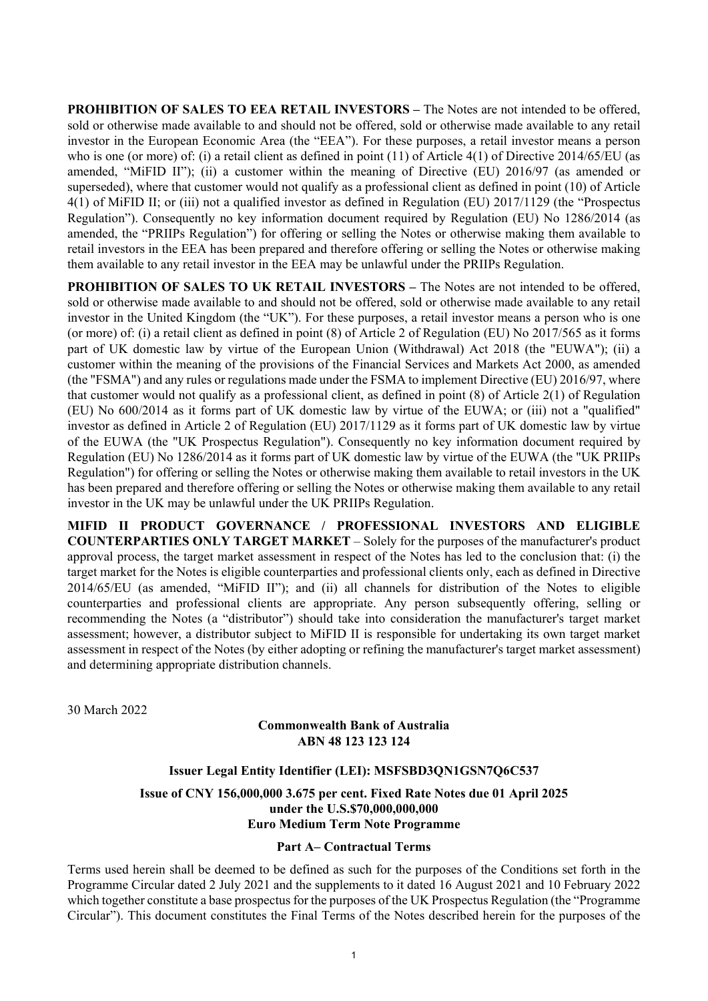**PROHIBITION OF SALES TO EEA RETAIL INVESTORS –** The Notes are not intended to be offered, sold or otherwise made available to and should not be offered, sold or otherwise made available to any retail investor in the European Economic Area (the "EEA"). For these purposes, a retail investor means a person who is one (or more) of: (i) a retail client as defined in point (11) of Article 4(1) of Directive 2014/65/EU (as amended, "MiFID II"); (ii) a customer within the meaning of Directive (EU) 2016/97 (as amended or superseded), where that customer would not qualify as a professional client as defined in point (10) of Article 4(1) of MiFID II; or (iii) not a qualified investor as defined in Regulation (EU) 2017/1129 (the "Prospectus Regulation"). Consequently no key information document required by Regulation (EU) No 1286/2014 (as amended, the "PRIIPs Regulation") for offering or selling the Notes or otherwise making them available to retail investors in the EEA has been prepared and therefore offering or selling the Notes or otherwise making them available to any retail investor in the EEA may be unlawful under the PRIIPs Regulation.

**PROHIBITION OF SALES TO UK RETAIL INVESTORS –** The Notes are not intended to be offered, sold or otherwise made available to and should not be offered, sold or otherwise made available to any retail investor in the United Kingdom (the "UK"). For these purposes, a retail investor means a person who is one (or more) of: (i) a retail client as defined in point (8) of Article 2 of Regulation (EU) No 2017/565 as it forms part of UK domestic law by virtue of the European Union (Withdrawal) Act 2018 (the "EUWA"); (ii) a customer within the meaning of the provisions of the Financial Services and Markets Act 2000, as amended (the "FSMA") and any rules or regulations made under the FSMA to implement Directive (EU) 2016/97, where that customer would not qualify as a professional client, as defined in point (8) of Article 2(1) of Regulation (EU) No 600/2014 as it forms part of UK domestic law by virtue of the EUWA; or (iii) not a "qualified" investor as defined in Article 2 of Regulation (EU) 2017/1129 as it forms part of UK domestic law by virtue of the EUWA (the "UK Prospectus Regulation"). Consequently no key information document required by Regulation (EU) No 1286/2014 as it forms part of UK domestic law by virtue of the EUWA (the "UK PRIIPs Regulation") for offering or selling the Notes or otherwise making them available to retail investors in the UK has been prepared and therefore offering or selling the Notes or otherwise making them available to any retail investor in the UK may be unlawful under the UK PRIIPs Regulation.

**MIFID II PRODUCT GOVERNANCE / PROFESSIONAL INVESTORS AND ELIGIBLE COUNTERPARTIES ONLY TARGET MARKET** – Solely for the purposes of the manufacturer's product approval process, the target market assessment in respect of the Notes has led to the conclusion that: (i) the target market for the Notes is eligible counterparties and professional clients only, each as defined in Directive 2014/65/EU (as amended, "MiFID II"); and (ii) all channels for distribution of the Notes to eligible counterparties and professional clients are appropriate. Any person subsequently offering, selling or recommending the Notes (a "distributor") should take into consideration the manufacturer's target market assessment; however, a distributor subject to MiFID II is responsible for undertaking its own target market assessment in respect of the Notes (by either adopting or refining the manufacturer's target market assessment) and determining appropriate distribution channels.

30 March 2022

## **Commonwealth Bank of Australia ABN 48 123 123 124**

# **Issuer Legal Entity Identifier (LEI): MSFSBD3QN1GSN7Q6C537**

**Issue of CNY 156,000,000 3.675 per cent. Fixed Rate Notes due 01 April 2025 under the U.S.\$70,000,000,000 Euro Medium Term Note Programme**

#### **Part A– Contractual Terms**

Terms used herein shall be deemed to be defined as such for the purposes of the Conditions set forth in the Programme Circular dated 2 July 2021 and the supplements to it dated 16 August 2021 and 10 February 2022 which together constitute a base prospectus for the purposes of the UK Prospectus Regulation (the "Programme Circular"). This document constitutes the Final Terms of the Notes described herein for the purposes of the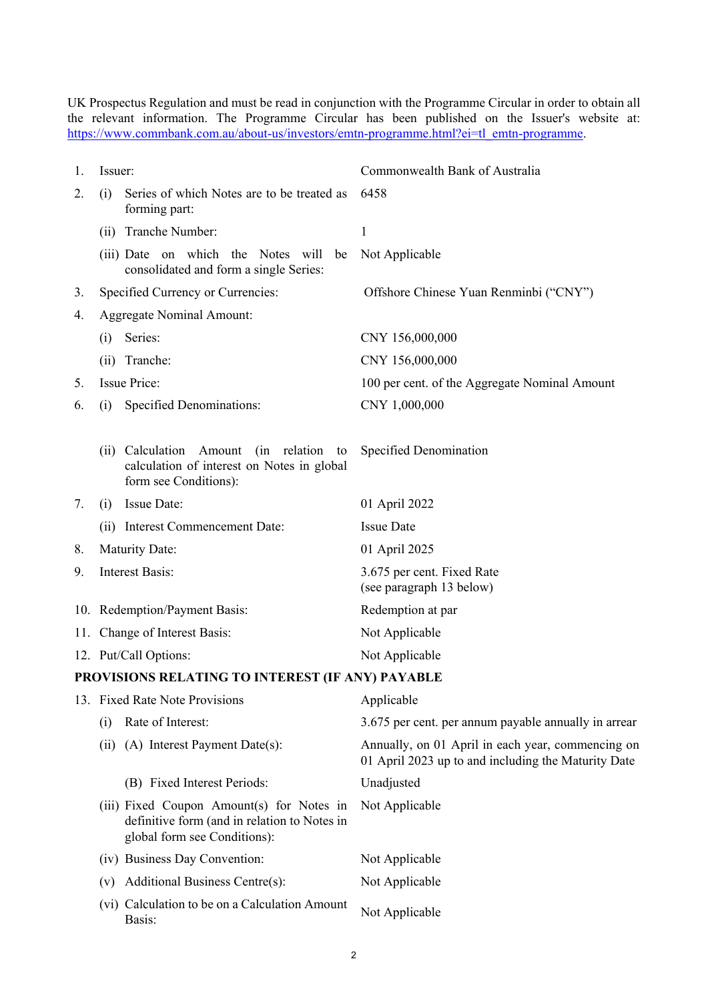UK Prospectus Regulation and must be read in conjunction with the Programme Circular in order to obtain all the relevant information. The Programme Circular has been published on the Issuer's website at: [https://www.commbank.com.au/about-us/investors/emtn-programme.html?ei=tl\\_emtn-programme.](https://www.commbank.com.au/about-us/investors/emtn-programme.html?ei=tl_emtn-programme)

<span id="page-1-0"></span>

| 1. | Issuer:                          |                                                                                                                            | Commonwealth Bank of Australia                                                                           |  |
|----|----------------------------------|----------------------------------------------------------------------------------------------------------------------------|----------------------------------------------------------------------------------------------------------|--|
| 2. | (i)                              | Series of which Notes are to be treated as<br>forming part:                                                                | 6458                                                                                                     |  |
|    | (ii)                             | Tranche Number:                                                                                                            | $\mathbf{1}$                                                                                             |  |
|    |                                  | (iii) Date on which the Notes will<br>be<br>consolidated and form a single Series:                                         | Not Applicable                                                                                           |  |
| 3. |                                  | Specified Currency or Currencies:                                                                                          | Offshore Chinese Yuan Renminbi ("CNY")                                                                   |  |
| 4. | <b>Aggregate Nominal Amount:</b> |                                                                                                                            |                                                                                                          |  |
|    | (i)                              | Series:                                                                                                                    | CNY 156,000,000                                                                                          |  |
|    | (ii)                             | Tranche:                                                                                                                   | CNY 156,000,000                                                                                          |  |
| 5. | <b>Issue Price:</b>              |                                                                                                                            | 100 per cent. of the Aggregate Nominal Amount                                                            |  |
| 6. | (i)                              | Specified Denominations:                                                                                                   | CNY 1,000,000                                                                                            |  |
|    |                                  | (ii) Calculation<br>Amount<br>(in<br>relation<br>to<br>calculation of interest on Notes in global<br>form see Conditions): | Specified Denomination                                                                                   |  |
| 7. | (i)                              | Issue Date:                                                                                                                | 01 April 2022                                                                                            |  |
|    |                                  | (ii) Interest Commencement Date:                                                                                           | <b>Issue Date</b>                                                                                        |  |
| 8. |                                  | <b>Maturity Date:</b>                                                                                                      | 01 April 2025                                                                                            |  |
| 9. | <b>Interest Basis:</b>           |                                                                                                                            | 3.675 per cent. Fixed Rate<br>(see paragraph 13 below)                                                   |  |
|    | 10. Redemption/Payment Basis:    |                                                                                                                            | Redemption at par                                                                                        |  |
|    |                                  | 11. Change of Interest Basis:                                                                                              | Not Applicable                                                                                           |  |
|    | 12. Put/Call Options:            |                                                                                                                            | Not Applicable                                                                                           |  |
|    |                                  | PROVISIONS RELATING TO INTEREST (IF ANY) PAYABLE                                                                           |                                                                                                          |  |
|    | 13. Fixed Rate Note Provisions   |                                                                                                                            | Applicable                                                                                               |  |
|    | (i)                              | Rate of Interest:                                                                                                          | 3.675 per cent. per annum payable annually in arrear                                                     |  |
|    | (ii)                             | (A) Interest Payment Date(s):                                                                                              | Annually, on 01 April in each year, commencing on<br>01 April 2023 up to and including the Maturity Date |  |
|    |                                  | (B) Fixed Interest Periods:                                                                                                | Unadjusted                                                                                               |  |
|    |                                  | (iii) Fixed Coupon Amount(s) for Notes in<br>definitive form (and in relation to Notes in<br>global form see Conditions):  | Not Applicable                                                                                           |  |
|    |                                  | (iv) Business Day Convention:                                                                                              | Not Applicable                                                                                           |  |
|    | (v)                              | Additional Business Centre(s):                                                                                             | Not Applicable                                                                                           |  |
|    |                                  | (vi) Calculation to be on a Calculation Amount<br>Basis:                                                                   | Not Applicable                                                                                           |  |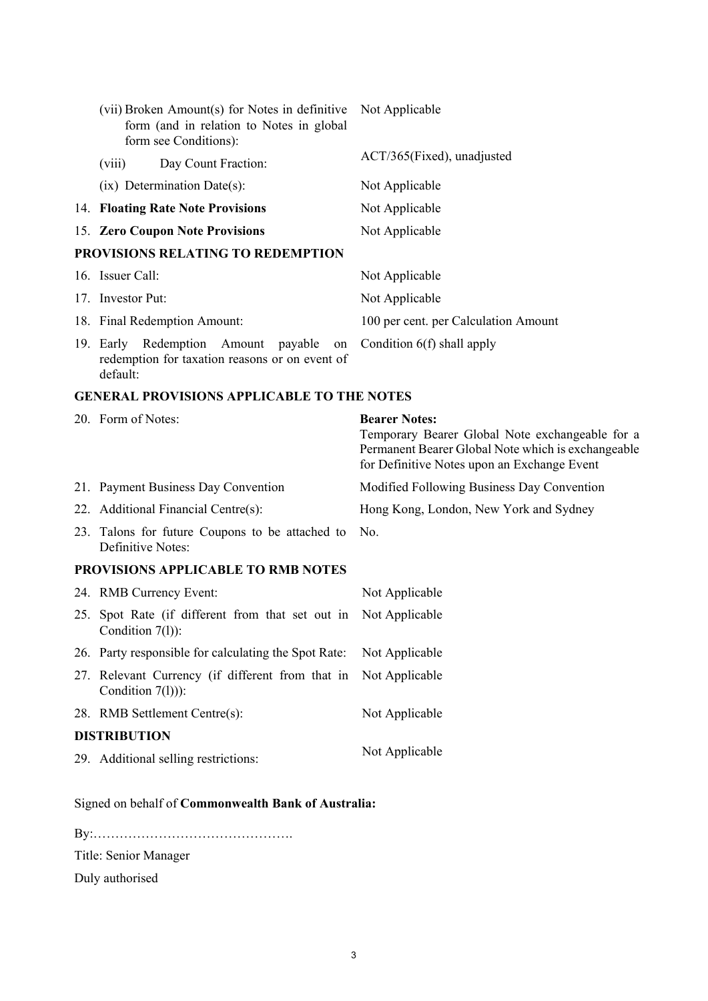| (vii) Broken Amount(s) for Notes in definitive<br>form (and in relation to Notes in global<br>form see Conditions): | Not Applicable                                                                                                                                                               |
|---------------------------------------------------------------------------------------------------------------------|------------------------------------------------------------------------------------------------------------------------------------------------------------------------------|
| Day Count Fraction:<br>(viii)                                                                                       | ACT/365(Fixed), unadjusted                                                                                                                                                   |
| $(ix)$ Determination Date(s):                                                                                       | Not Applicable                                                                                                                                                               |
| 14. Floating Rate Note Provisions                                                                                   | Not Applicable                                                                                                                                                               |
| 15. Zero Coupon Note Provisions                                                                                     | Not Applicable                                                                                                                                                               |
| PROVISIONS RELATING TO REDEMPTION                                                                                   |                                                                                                                                                                              |
| 16. Issuer Call:                                                                                                    | Not Applicable                                                                                                                                                               |
| 17. Investor Put:                                                                                                   | Not Applicable                                                                                                                                                               |
| 18. Final Redemption Amount:                                                                                        | 100 per cent. per Calculation Amount                                                                                                                                         |
| 19. Early Redemption<br>Amount<br>payable<br>on<br>redemption for taxation reasons or on event of<br>default:       | Condition $6(f)$ shall apply                                                                                                                                                 |
| <b>GENERAL PROVISIONS APPLICABLE TO THE NOTES</b>                                                                   |                                                                                                                                                                              |
| 20. Form of Notes:                                                                                                  | <b>Bearer Notes:</b><br>Temporary Bearer Global Note exchangeable for a<br>Permanent Bearer Global Note which is exchangeable<br>for Definitive Notes upon an Exchange Event |
| 21. Payment Business Day Convention                                                                                 | Modified Following Business Day Convention                                                                                                                                   |
| 22. Additional Financial Centre(s):                                                                                 | Hong Kong, London, New York and Sydney                                                                                                                                       |
| 23. Talons for future Coupons to be attached to<br>Definitive Notes:                                                | No.                                                                                                                                                                          |
| PROVISIONS APPLICABLE TO RMB NOTES                                                                                  |                                                                                                                                                                              |
| 24. RMB Currency Event:                                                                                             | Not Applicable                                                                                                                                                               |
| 25. Spot Rate (if different from that set out in<br>Condition 7(1)):                                                | Not Applicable                                                                                                                                                               |
| 26. Party responsible for calculating the Spot Rate:                                                                | Not Applicable                                                                                                                                                               |

- 27. Relevant Currency (if different from that in Not Applicable
- Condition 7(l))): 28. RMB Settlement Centre(s): Not Applicable **DISTRIBUTION**
- 29. Additional selling restrictions: Not Applicable

Signed on behalf of **Commonwealth Bank of Australia:**

By:……………………………………….

Title: Senior Manager

Duly authorised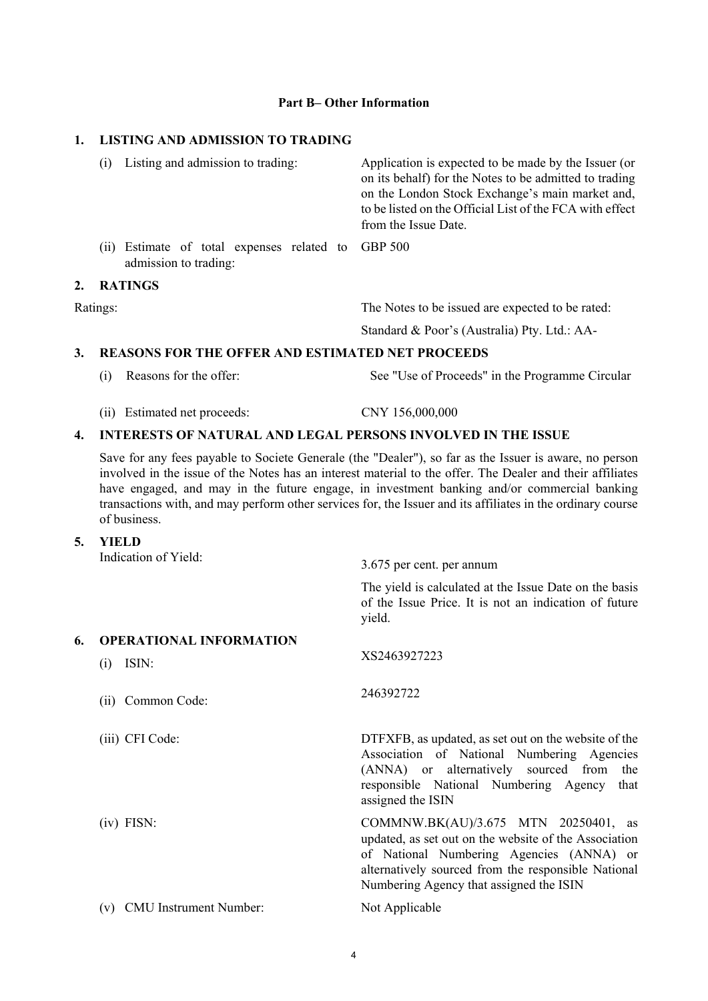### **Part B– Other Information**

## **1. LISTING AND ADMISSION TO TRADING**

|          | Listing and admission to trading:<br>(1)                                    | Application is expected to be made by the Issuer (or<br>on its behalf) for the Notes to be admitted to trading<br>on the London Stock Exchange's main market and,<br>to be listed on the Official List of the FCA with effect<br>from the Issue Date. |
|----------|-----------------------------------------------------------------------------|-------------------------------------------------------------------------------------------------------------------------------------------------------------------------------------------------------------------------------------------------------|
|          | (ii) Estimate of total expenses related to GBP 500<br>admission to trading: |                                                                                                                                                                                                                                                       |
| 2.       | <b>RATINGS</b>                                                              |                                                                                                                                                                                                                                                       |
| Ratings: |                                                                             | The Notes to be issued are expected to be rated:                                                                                                                                                                                                      |

Standard & Poor's (Australia) Pty. Ltd.: AA-

#### **3. REASONS FOR THE OFFER AND ESTIMATED NET PROCEEDS**

- (i) Reasons for the offer: See "Use of Proceeds" in the Programme Circular
- (ii) Estimated net proceeds: CNY 156,000,000

#### **4. INTERESTS OF NATURAL AND LEGAL PERSONS INVOLVED IN THE ISSUE**

Save for any fees payable to Societe Generale (the "Dealer"), so far as the Issuer is aware, no person involved in the issue of the Notes has an interest material to the offer. The Dealer and their affiliates have engaged, and may in the future engage, in investment banking and/or commercial banking transactions with, and may perform other services for, the Issuer and its affiliates in the ordinary course of business.

**5. YIELD** 

|    | Indication of Yield:                           | 3.675 per cent. per annum                                                                                                                                                                                                                   |
|----|------------------------------------------------|---------------------------------------------------------------------------------------------------------------------------------------------------------------------------------------------------------------------------------------------|
|    |                                                | The yield is calculated at the Issue Date on the basis<br>of the Issue Price. It is not an indication of future<br>yield.                                                                                                                   |
| 6. | <b>OPERATIONAL INFORMATION</b><br>ISIN:<br>(i) | XS2463927223                                                                                                                                                                                                                                |
|    | Common Code:<br>(ii)                           | 246392722                                                                                                                                                                                                                                   |
|    | (iii) CFI Code:                                | DTFXFB, as updated, as set out on the website of the<br>Association of National Numbering Agencies<br>(ANNA) or alternatively sourced from<br>the<br>responsible National Numbering Agency<br>that<br>assigned the ISIN                     |
|    | $(iv)$ FISN:                                   | COMMNW.BK(AU)/3.675 MTN 20250401, as<br>updated, as set out on the website of the Association<br>of National Numbering Agencies (ANNA) or<br>alternatively sourced from the responsible National<br>Numbering Agency that assigned the ISIN |
|    | <b>CMU</b> Instrument Number:<br>(v)           | Not Applicable                                                                                                                                                                                                                              |